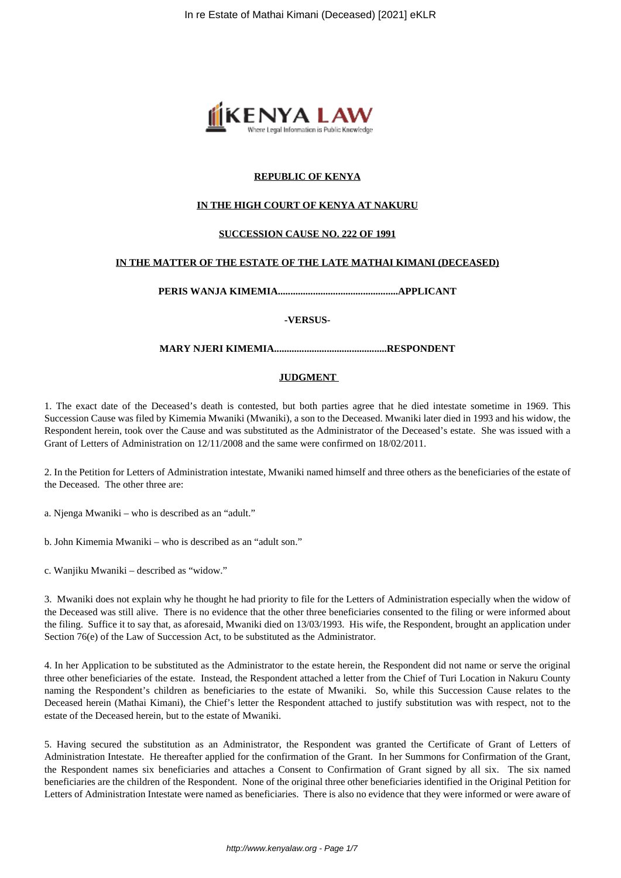

## **REPUBLIC OF KENYA**

## **IN THE HIGH COURT OF KENYA AT NAKURU**

## **SUCCESSION CAUSE NO. 222 OF 1991**

### **IN THE MATTER OF THE ESTATE OF THE LATE MATHAI KIMANI (DECEASED)**

**PERIS WANJA KIMEMIA................................................APPLICANT**

#### **-VERSUS-**

## **MARY NJERI KIMEMIA.............................................RESPONDENT**

## **JUDGMENT**

1. The exact date of the Deceased's death is contested, but both parties agree that he died intestate sometime in 1969. This Succession Cause was filed by Kimemia Mwaniki (Mwaniki), a son to the Deceased. Mwaniki later died in 1993 and his widow, the Respondent herein, took over the Cause and was substituted as the Administrator of the Deceased's estate. She was issued with a Grant of Letters of Administration on 12/11/2008 and the same were confirmed on 18/02/2011.

2. In the Petition for Letters of Administration intestate, Mwaniki named himself and three others as the beneficiaries of the estate of the Deceased. The other three are:

a. Njenga Mwaniki – who is described as an "adult."

b. John Kimemia Mwaniki – who is described as an "adult son."

c. Wanjiku Mwaniki – described as "widow."

3. Mwaniki does not explain why he thought he had priority to file for the Letters of Administration especially when the widow of the Deceased was still alive. There is no evidence that the other three beneficiaries consented to the filing or were informed about the filing. Suffice it to say that, as aforesaid, Mwaniki died on 13/03/1993. His wife, the Respondent, brought an application under Section 76(e) of the Law of Succession Act, to be substituted as the Administrator.

4. In her Application to be substituted as the Administrator to the estate herein, the Respondent did not name or serve the original three other beneficiaries of the estate. Instead, the Respondent attached a letter from the Chief of Turi Location in Nakuru County naming the Respondent's children as beneficiaries to the estate of Mwaniki. So, while this Succession Cause relates to the Deceased herein (Mathai Kimani), the Chief's letter the Respondent attached to justify substitution was with respect, not to the estate of the Deceased herein, but to the estate of Mwaniki.

5. Having secured the substitution as an Administrator, the Respondent was granted the Certificate of Grant of Letters of Administration Intestate. He thereafter applied for the confirmation of the Grant. In her Summons for Confirmation of the Grant, the Respondent names six beneficiaries and attaches a Consent to Confirmation of Grant signed by all six. The six named beneficiaries are the children of the Respondent. None of the original three other beneficiaries identified in the Original Petition for Letters of Administration Intestate were named as beneficiaries. There is also no evidence that they were informed or were aware of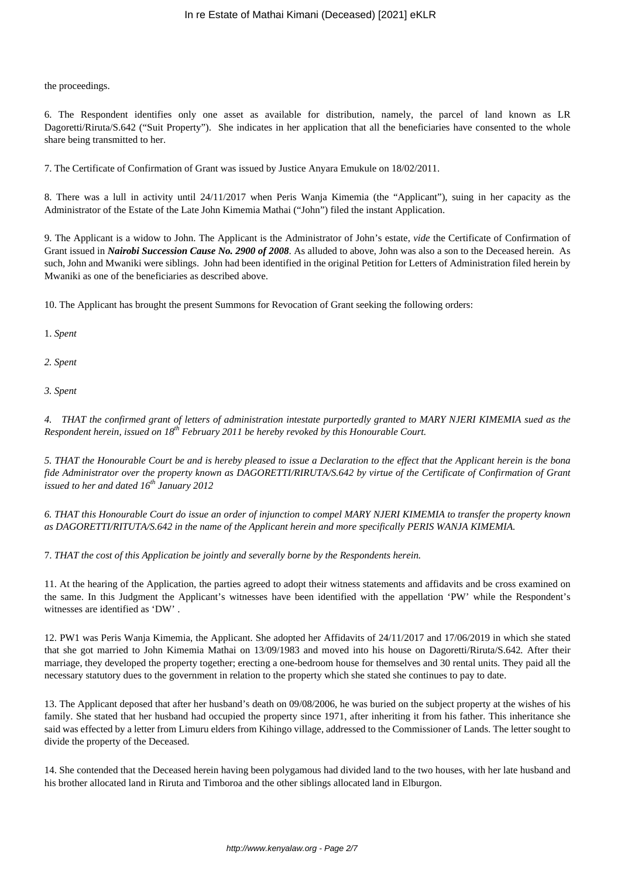the proceedings.

6. The Respondent identifies only one asset as available for distribution, namely, the parcel of land known as LR Dagoretti/Riruta/S.642 ("Suit Property"). She indicates in her application that all the beneficiaries have consented to the whole share being transmitted to her.

7. The Certificate of Confirmation of Grant was issued by Justice Anyara Emukule on 18/02/2011.

8. There was a lull in activity until 24/11/2017 when Peris Wanja Kimemia (the "Applicant"), suing in her capacity as the Administrator of the Estate of the Late John Kimemia Mathai ("John") filed the instant Application.

9. The Applicant is a widow to John. The Applicant is the Administrator of John's estate, *vide* the Certificate of Confirmation of Grant issued in *Nairobi Succession Cause No. 2900 of 2008*. As alluded to above, John was also a son to the Deceased herein. As such, John and Mwaniki were siblings. John had been identified in the original Petition for Letters of Administration filed herein by Mwaniki as one of the beneficiaries as described above.

10. The Applicant has brought the present Summons for Revocation of Grant seeking the following orders:

1. *Spent*

*2. Spent*

*3. Spent*

*4. THAT the confirmed grant of letters of administration intestate purportedly granted to MARY NJERI KIMEMIA sued as the Respondent herein, issued on 18th February 2011 be hereby revoked by this Honourable Court.*

*5. THAT the Honourable Court be and is hereby pleased to issue a Declaration to the effect that the Applicant herein is the bona fide Administrator over the property known as DAGORETTI/RIRUTA/S.642 by virtue of the Certificate of Confirmation of Grant issued to her and dated 16th January 2012*

*6. THAT this Honourable Court do issue an order of injunction to compel MARY NJERI KIMEMIA to transfer the property known as DAGORETTI/RITUTA/S.642 in the name of the Applicant herein and more specifically PERIS WANJA KIMEMIA.*

7. *THAT the cost of this Application be jointly and severally borne by the Respondents herein.* 

11. At the hearing of the Application, the parties agreed to adopt their witness statements and affidavits and be cross examined on the same. In this Judgment the Applicant's witnesses have been identified with the appellation 'PW' while the Respondent's witnesses are identified as 'DW' .

12. PW1 was Peris Wanja Kimemia, the Applicant. She adopted her Affidavits of 24/11/2017 and 17/06/2019 in which she stated that she got married to John Kimemia Mathai on 13/09/1983 and moved into his house on Dagoretti/Riruta/S.642*.* After their marriage, they developed the property together; erecting a one-bedroom house for themselves and 30 rental units. They paid all the necessary statutory dues to the government in relation to the property which she stated she continues to pay to date.

13. The Applicant deposed that after her husband's death on 09/08/2006, he was buried on the subject property at the wishes of his family. She stated that her husband had occupied the property since 1971, after inheriting it from his father. This inheritance she said was effected by a letter from Limuru elders from Kihingo village, addressed to the Commissioner of Lands. The letter sought to divide the property of the Deceased.

14. She contended that the Deceased herein having been polygamous had divided land to the two houses, with her late husband and his brother allocated land in Riruta and Timboroa and the other siblings allocated land in Elburgon.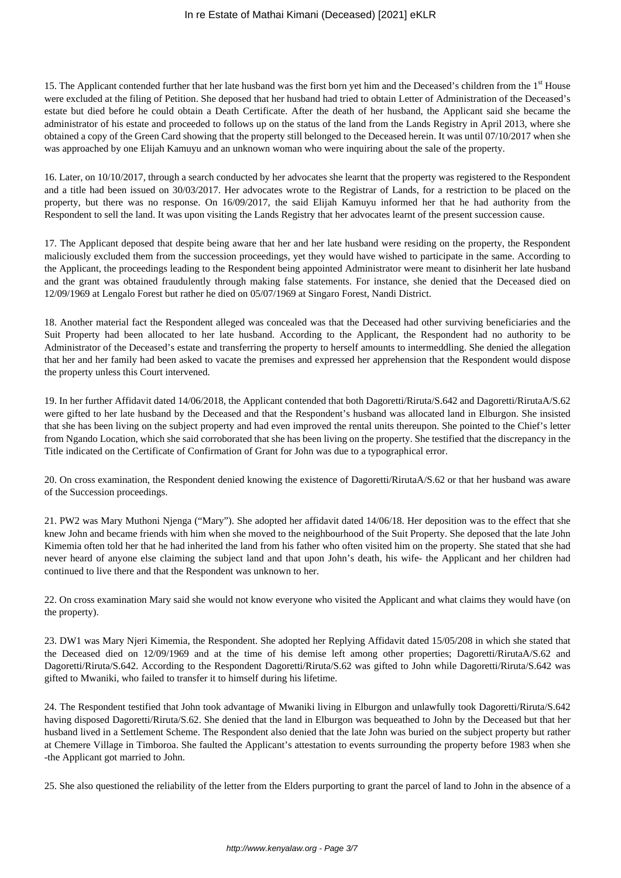15. The Applicant contended further that her late husband was the first born yet him and the Deceased's children from the 1<sup>st</sup> House were excluded at the filing of Petition. She deposed that her husband had tried to obtain Letter of Administration of the Deceased's estate but died before he could obtain a Death Certificate. After the death of her husband, the Applicant said she became the administrator of his estate and proceeded to follows up on the status of the land from the Lands Registry in April 2013, where she obtained a copy of the Green Card showing that the property still belonged to the Deceased herein. It was until 07/10/2017 when she was approached by one Elijah Kamuyu and an unknown woman who were inquiring about the sale of the property.

16. Later, on 10/10/2017, through a search conducted by her advocates she learnt that the property was registered to the Respondent and a title had been issued on 30/03/2017. Her advocates wrote to the Registrar of Lands, for a restriction to be placed on the property, but there was no response. On 16/09/2017, the said Elijah Kamuyu informed her that he had authority from the Respondent to sell the land. It was upon visiting the Lands Registry that her advocates learnt of the present succession cause.

17. The Applicant deposed that despite being aware that her and her late husband were residing on the property, the Respondent maliciously excluded them from the succession proceedings, yet they would have wished to participate in the same. According to the Applicant, the proceedings leading to the Respondent being appointed Administrator were meant to disinherit her late husband and the grant was obtained fraudulently through making false statements. For instance, she denied that the Deceased died on 12/09/1969 at Lengalo Forest but rather he died on 05/07/1969 at Singaro Forest, Nandi District.

18. Another material fact the Respondent alleged was concealed was that the Deceased had other surviving beneficiaries and the Suit Property had been allocated to her late husband. According to the Applicant, the Respondent had no authority to be Administrator of the Deceased's estate and transferring the property to herself amounts to intermeddling. She denied the allegation that her and her family had been asked to vacate the premises and expressed her apprehension that the Respondent would dispose the property unless this Court intervened.

19. In her further Affidavit dated 14/06/2018, the Applicant contended that both Dagoretti/Riruta/S.642 and Dagoretti/RirutaA/S.62 were gifted to her late husband by the Deceased and that the Respondent's husband was allocated land in Elburgon. She insisted that she has been living on the subject property and had even improved the rental units thereupon. She pointed to the Chief's letter from Ngando Location, which she said corroborated that she has been living on the property. She testified that the discrepancy in the Title indicated on the Certificate of Confirmation of Grant for John was due to a typographical error.

20. On cross examination, the Respondent denied knowing the existence of Dagoretti/RirutaA/S.62 or that her husband was aware of the Succession proceedings.

21. PW2 was Mary Muthoni Njenga ("Mary"). She adopted her affidavit dated 14/06/18. Her deposition was to the effect that she knew John and became friends with him when she moved to the neighbourhood of the Suit Property. She deposed that the late John Kimemia often told her that he had inherited the land from his father who often visited him on the property. She stated that she had never heard of anyone else claiming the subject land and that upon John's death, his wife- the Applicant and her children had continued to live there and that the Respondent was unknown to her.

22. On cross examination Mary said she would not know everyone who visited the Applicant and what claims they would have (on the property).

23. DW1 was Mary Njeri Kimemia, the Respondent. She adopted her Replying Affidavit dated 15/05/208 in which she stated that the Deceased died on 12/09/1969 and at the time of his demise left among other properties; Dagoretti/RirutaA/S.62 and Dagoretti/Riruta/S.642. According to the Respondent Dagoretti/Riruta/S.62 was gifted to John while Dagoretti/Riruta/S.642 was gifted to Mwaniki, who failed to transfer it to himself during his lifetime.

24. The Respondent testified that John took advantage of Mwaniki living in Elburgon and unlawfully took Dagoretti/Riruta/S.642 having disposed Dagoretti/Riruta/S.62. She denied that the land in Elburgon was bequeathed to John by the Deceased but that her husband lived in a Settlement Scheme. The Respondent also denied that the late John was buried on the subject property but rather at Chemere Village in Timboroa. She faulted the Applicant's attestation to events surrounding the property before 1983 when she -the Applicant got married to John.

25. She also questioned the reliability of the letter from the Elders purporting to grant the parcel of land to John in the absence of a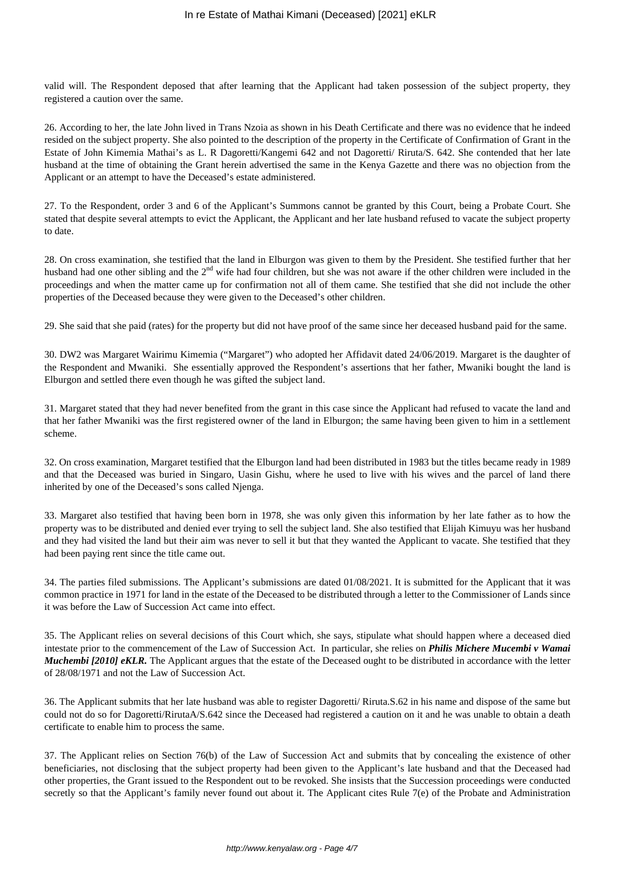valid will. The Respondent deposed that after learning that the Applicant had taken possession of the subject property, they registered a caution over the same.

26. According to her, the late John lived in Trans Nzoia as shown in his Death Certificate and there was no evidence that he indeed resided on the subject property. She also pointed to the description of the property in the Certificate of Confirmation of Grant in the Estate of John Kimemia Mathai's as L. R Dagoretti/Kangemi 642 and not Dagoretti/ Riruta/S. 642. She contended that her late husband at the time of obtaining the Grant herein advertised the same in the Kenya Gazette and there was no objection from the Applicant or an attempt to have the Deceased's estate administered.

27. To the Respondent, order 3 and 6 of the Applicant's Summons cannot be granted by this Court, being a Probate Court. She stated that despite several attempts to evict the Applicant, the Applicant and her late husband refused to vacate the subject property to date.

28. On cross examination, she testified that the land in Elburgon was given to them by the President. She testified further that her husband had one other sibling and the 2<sup>nd</sup> wife had four children, but she was not aware if the other children were included in the proceedings and when the matter came up for confirmation not all of them came. She testified that she did not include the other properties of the Deceased because they were given to the Deceased's other children.

29. She said that she paid (rates) for the property but did not have proof of the same since her deceased husband paid for the same.

30. DW2 was Margaret Wairimu Kimemia ("Margaret") who adopted her Affidavit dated 24/06/2019. Margaret is the daughter of the Respondent and Mwaniki. She essentially approved the Respondent's assertions that her father, Mwaniki bought the land is Elburgon and settled there even though he was gifted the subject land.

31. Margaret stated that they had never benefited from the grant in this case since the Applicant had refused to vacate the land and that her father Mwaniki was the first registered owner of the land in Elburgon; the same having been given to him in a settlement scheme.

32. On cross examination, Margaret testified that the Elburgon land had been distributed in 1983 but the titles became ready in 1989 and that the Deceased was buried in Singaro, Uasin Gishu, where he used to live with his wives and the parcel of land there inherited by one of the Deceased's sons called Njenga.

33. Margaret also testified that having been born in 1978, she was only given this information by her late father as to how the property was to be distributed and denied ever trying to sell the subject land. She also testified that Elijah Kimuyu was her husband and they had visited the land but their aim was never to sell it but that they wanted the Applicant to vacate. She testified that they had been paying rent since the title came out.

34. The parties filed submissions. The Applicant's submissions are dated 01/08/2021. It is submitted for the Applicant that it was common practice in 1971 for land in the estate of the Deceased to be distributed through a letter to the Commissioner of Lands since it was before the Law of Succession Act came into effect.

35. The Applicant relies on several decisions of this Court which, she says, stipulate what should happen where a deceased died intestate prior to the commencement of the Law of Succession Act. In particular, she relies on *Philis Michere Mucembi v Wamai Muchembi [2010] eKLR.* The Applicant argues that the estate of the Deceased ought to be distributed in accordance with the letter of 28/08/1971 and not the Law of Succession Act.

36. The Applicant submits that her late husband was able to register Dagoretti/ Riruta.S.62 in his name and dispose of the same but could not do so for Dagoretti/RirutaA/S.642 since the Deceased had registered a caution on it and he was unable to obtain a death certificate to enable him to process the same.

37. The Applicant relies on Section 76(b) of the Law of Succession Act and submits that by concealing the existence of other beneficiaries, not disclosing that the subject property had been given to the Applicant's late husband and that the Deceased had other properties, the Grant issued to the Respondent out to be revoked. She insists that the Succession proceedings were conducted secretly so that the Applicant's family never found out about it. The Applicant cites Rule 7(e) of the Probate and Administration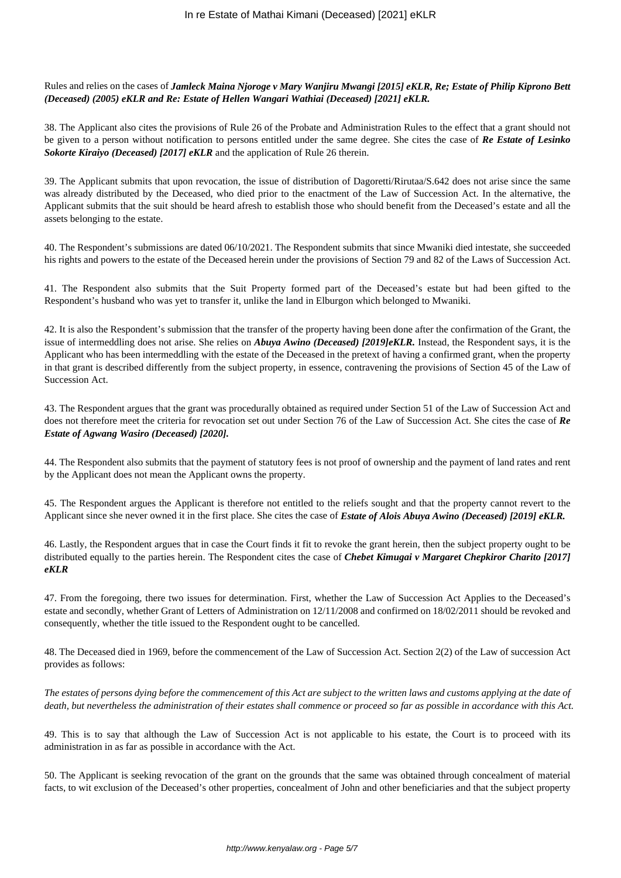Rules and relies on the cases of *Jamleck Maina Njoroge v Mary Wanjiru Mwangi [2015] eKLR, Re; Estate of Philip Kiprono Bett (Deceased) (2005) eKLR and Re: Estate of Hellen Wangari Wathiai (Deceased) [2021] eKLR.* 

38. The Applicant also cites the provisions of Rule 26 of the Probate and Administration Rules to the effect that a grant should not be given to a person without notification to persons entitled under the same degree. She cites the case of *Re Estate of Lesinko Sokorte Kiraiyo (Deceased) [2017] eKLR* and the application of Rule 26 therein.

39. The Applicant submits that upon revocation, the issue of distribution of Dagoretti/Rirutaa/S.642 does not arise since the same was already distributed by the Deceased, who died prior to the enactment of the Law of Succession Act. In the alternative, the Applicant submits that the suit should be heard afresh to establish those who should benefit from the Deceased's estate and all the assets belonging to the estate.

40. The Respondent's submissions are dated 06/10/2021. The Respondent submits that since Mwaniki died intestate, she succeeded his rights and powers to the estate of the Deceased herein under the provisions of Section 79 and 82 of the Laws of Succession Act.

41. The Respondent also submits that the Suit Property formed part of the Deceased's estate but had been gifted to the Respondent's husband who was yet to transfer it, unlike the land in Elburgon which belonged to Mwaniki.

42. It is also the Respondent's submission that the transfer of the property having been done after the confirmation of the Grant, the issue of intermeddling does not arise. She relies on *Abuya Awino (Deceased) [2019]eKLR.* Instead, the Respondent says, it is the Applicant who has been intermeddling with the estate of the Deceased in the pretext of having a confirmed grant, when the property in that grant is described differently from the subject property, in essence, contravening the provisions of Section 45 of the Law of Succession Act.

43. The Respondent argues that the grant was procedurally obtained as required under Section 51 of the Law of Succession Act and does not therefore meet the criteria for revocation set out under Section 76 of the Law of Succession Act. She cites the case of *Re Estate of Agwang Wasiro (Deceased) [2020].*

44. The Respondent also submits that the payment of statutory fees is not proof of ownership and the payment of land rates and rent by the Applicant does not mean the Applicant owns the property.

45. The Respondent argues the Applicant is therefore not entitled to the reliefs sought and that the property cannot revert to the Applicant since she never owned it in the first place. She cites the case of *Estate of Alois Abuya Awino (Deceased) [2019] eKLR.* 

46. Lastly, the Respondent argues that in case the Court finds it fit to revoke the grant herein, then the subject property ought to be distributed equally to the parties herein. The Respondent cites the case of *Chebet Kimugai v Margaret Chepkiror Charito [2017] eKLR*

47. From the foregoing, there two issues for determination. First, whether the Law of Succession Act Applies to the Deceased's estate and secondly, whether Grant of Letters of Administration on 12/11/2008 and confirmed on 18/02/2011 should be revoked and consequently, whether the title issued to the Respondent ought to be cancelled.

48. The Deceased died in 1969, before the commencement of the Law of Succession Act. Section 2(2) of the Law of succession Act provides as follows:

*The estates of persons dying before the commencement of this Act are subject to the written laws and customs applying at the date of death, but nevertheless the administration of their estates shall commence or proceed so far as possible in accordance with this Act.*

49. This is to say that although the Law of Succession Act is not applicable to his estate, the Court is to proceed with its administration in as far as possible in accordance with the Act.

50. The Applicant is seeking revocation of the grant on the grounds that the same was obtained through concealment of material facts, to wit exclusion of the Deceased's other properties, concealment of John and other beneficiaries and that the subject property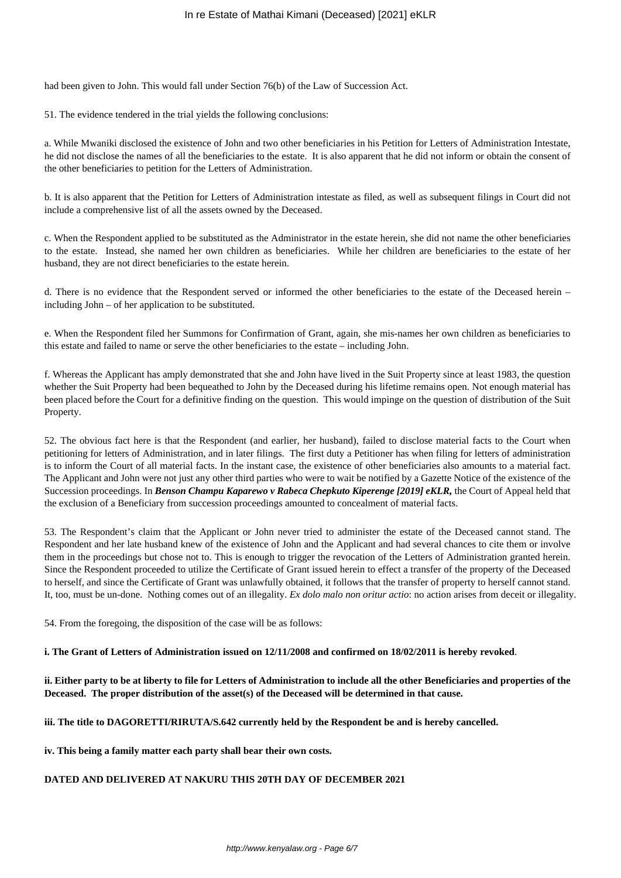had been given to John. This would fall under Section 76(b) of the Law of Succession Act.

51. The evidence tendered in the trial yields the following conclusions:

a. While Mwaniki disclosed the existence of John and two other beneficiaries in his Petition for Letters of Administration Intestate, he did not disclose the names of all the beneficiaries to the estate. It is also apparent that he did not inform or obtain the consent of the other beneficiaries to petition for the Letters of Administration.

b. It is also apparent that the Petition for Letters of Administration intestate as filed, as well as subsequent filings in Court did not include a comprehensive list of all the assets owned by the Deceased.

c. When the Respondent applied to be substituted as the Administrator in the estate herein, she did not name the other beneficiaries to the estate. Instead, she named her own children as beneficiaries. While her children are beneficiaries to the estate of her husband, they are not direct beneficiaries to the estate herein.

d. There is no evidence that the Respondent served or informed the other beneficiaries to the estate of the Deceased herein – including John – of her application to be substituted.

e. When the Respondent filed her Summons for Confirmation of Grant, again, she mis-names her own children as beneficiaries to this estate and failed to name or serve the other beneficiaries to the estate – including John.

f. Whereas the Applicant has amply demonstrated that she and John have lived in the Suit Property since at least 1983, the question whether the Suit Property had been bequeathed to John by the Deceased during his lifetime remains open. Not enough material has been placed before the Court for a definitive finding on the question. This would impinge on the question of distribution of the Suit Property.

52. The obvious fact here is that the Respondent (and earlier, her husband), failed to disclose material facts to the Court when petitioning for letters of Administration, and in later filings. The first duty a Petitioner has when filing for letters of administration is to inform the Court of all material facts. In the instant case, the existence of other beneficiaries also amounts to a material fact. The Applicant and John were not just any other third parties who were to wait be notified by a Gazette Notice of the existence of the Succession proceedings. In *Benson Champu Kaparewo v Rabeca Chepkuto Kiperenge [2019] eKLR,* the Court of Appeal held that the exclusion of a Beneficiary from succession proceedings amounted to concealment of material facts.

53. The Respondent's claim that the Applicant or John never tried to administer the estate of the Deceased cannot stand. The Respondent and her late husband knew of the existence of John and the Applicant and had several chances to cite them or involve them in the proceedings but chose not to. This is enough to trigger the revocation of the Letters of Administration granted herein. Since the Respondent proceeded to utilize the Certificate of Grant issued herein to effect a transfer of the property of the Deceased to herself, and since the Certificate of Grant was unlawfully obtained, it follows that the transfer of property to herself cannot stand. It, too, must be un-done. Nothing comes out of an illegality. *Ex dolo malo non oritur actio*: no action arises from deceit or illegality.

54. From the foregoing, the disposition of the case will be as follows:

#### **i. The Grant of Letters of Administration issued on 12/11/2008 and confirmed on 18/02/2011 is hereby revoked**.

**ii. Either party to be at liberty to file for Letters of Administration to include all the other Beneficiaries and properties of the Deceased. The proper distribution of the asset(s) of the Deceased will be determined in that cause.**

## **iii. The title to DAGORETTI/RIRUTA/S.642 currently held by the Respondent be and is hereby cancelled.**

**iv. This being a family matter each party shall bear their own costs.** 

## **DATED AND DELIVERED AT NAKURU THIS 20TH DAY OF DECEMBER 2021**